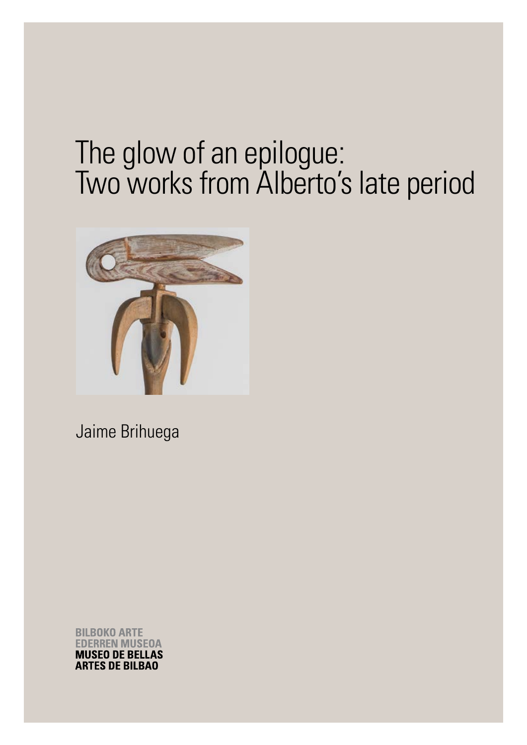# The glow of an epilogue: Two works from Alberto's late period



Jaime Brihuega

**BILBOKO ARTE EDERREN MUSEOA MUSEO DE BELLAS ARTES DE BILBAO**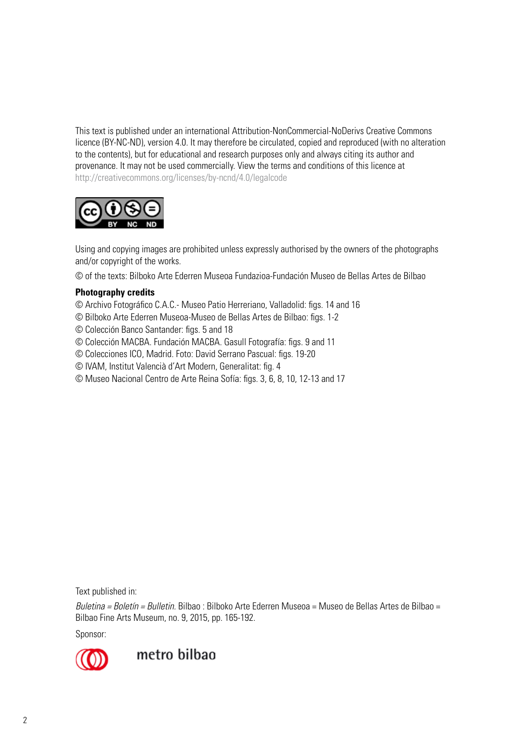This text is published under an international Attribution-NonCommercial-NoDerivs Creative Commons licence (BY-NC-ND), version 4.0. It may therefore be circulated, copied and reproduced (with no alteration to the contents), but for educational and research purposes only and always citing its author and provenance. It may not be used commercially. View the terms and conditions of this licence at http://creativecommons.org/licenses/by-ncnd/4.0/legalcode



Using and copying images are prohibited unless expressly authorised by the owners of the photographs and/or copyright of the works.

© of the texts: Bilboko Arte Ederren Museoa Fundazioa-Fundación Museo de Bellas Artes de Bilbao

#### **Photography credits**

- © Archivo Fotográfico C.A.C.- Museo Patio Herreriano, Valladolid: figs. 14 and 16
- © Bilboko Arte Ederren Museoa-Museo de Bellas Artes de Bilbao: figs. 1-2
- © Colección Banco Santander: figs. 5 and 18
- © Colección MACBA. Fundación MACBA. Gasull Fotografía: figs. 9 and 11
- © Colecciones ICO, Madrid. Foto: David Serrano Pascual: figs. 19-20
- © IVAM, Institut Valencià d'Art Modern, Generalitat: fig. 4
- © Museo Nacional Centro de Arte Reina Sofía: figs. 3, 6, 8, 10, 12-13 and 17

Text published in:

*Buletina = Boletín = Bulletin.* Bilbao : Bilboko Arte Ederren Museoa = Museo de Bellas Artes de Bilbao = Bilbao Fine Arts Museum, no. 9, 2015, pp. 165-192.

Sponsor:



metro bilbao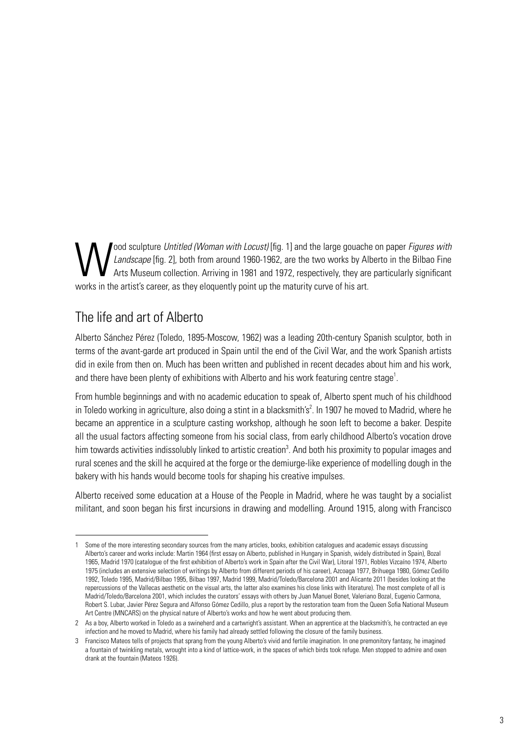Jood sculpture *Untitled (Woman with Locust)* [fig. 1] and the large gouache on paper *Figures with*<br>*Landscape* [fig. 2], both from around 1960-1962, are the two works by Alberto in the Bilbao Fine<br>Arts Museum collection. *Landscape* [fig. 2], both from around 1960-1962, are the two works by Alberto in the Bilbao Fine Arts Museum collection. Arriving in 1981 and 1972, respectively, they are particularly significant works in the artist's career, as they eloquently point up the maturity curve of his art.

# The life and art of Alberto

Alberto Sánchez Pérez (Toledo, 1895-Moscow, 1962) was a leading 20th-century Spanish sculptor, both in terms of the avant-garde art produced in Spain until the end of the Civil War, and the work Spanish artists did in exile from then on. Much has been written and published in recent decades about him and his work, and there have been plenty of exhibitions with Alberto and his work featuring centre stage<sup>1</sup>.

From humble beginnings and with no academic education to speak of, Alberto spent much of his childhood in Toledo working in agriculture, also doing a stint in a blacksmith's<sup>2</sup>. In 1907 he moved to Madrid, where he became an apprentice in a sculpture casting workshop, although he soon left to become a baker. Despite all the usual factors affecting someone from his social class, from early childhood Alberto's vocation drove him towards activities indissolubly linked to artistic creation<sup>3</sup>. And both his proximity to popular images and rural scenes and the skill he acquired at the forge or the demiurge-like experience of modelling dough in the bakery with his hands would become tools for shaping his creative impulses.

Alberto received some education at a House of the People in Madrid, where he was taught by a socialist militant, and soon began his first incursions in drawing and modelling. Around 1915, along with Francisco

Some of the more interesting secondary sources from the many articles, books, exhibition catalogues and academic essays discussing Alberto's career and works include: Martin 1964 (first essay on Alberto, published in Hungary in Spanish, widely distributed in Spain), Bozal 1965, Madrid 1970 (catalogue of the first exhibition of Alberto's work in Spain after the Civil War), [Litoral](http://dialnet.unirioja.es/servlet/revista?codigo=9709) 1971, Robles Vizcaíno 1974, Alberto 1975 (includes an extensive selection of writings by Alberto from different periods of his career), Azcoaga 1977, Brihuega 1980, Gómez Cedillo 1992, Toledo 1995, Madrid/Bilbao 1995, Bilbao 1997, Madrid 1999, Madrid/Toledo/Barcelona 2001 and Alicante 2011 (besides looking at the repercussions of the Vallecas aesthetic on the visual arts, the latter also examines his close links with literature). The most complete of all is Madrid/Toledo/Barcelona 2001, which includes the curators' essays with others by Juan Manuel Bonet, Valeriano Bozal, Eugenio Carmona, Robert S. Lubar, Javier Pérez Segura and Alfonso Gómez Cedillo, plus a report by the restoration team from the Queen Sofia National Museum Art Centre (MNCARS) on the physical nature of Alberto's works and how he went about producing them.

<sup>2</sup> As a boy, Alberto worked in Toledo as a swineherd and a cartwright's assistant. When an apprentice at the blacksmith's, he contracted an eye infection and he moved to Madrid, where his family had already settled following the closure of the family business.

<sup>3</sup> Francisco Mateos tells of projects that sprang from the young Alberto's vivid and fertile imagination. In one premonitory fantasy, he imagined a fountain of twinkling metals, wrought into a kind of lattice-work, in the spaces of which birds took refuge. Men stopped to admire and oxen drank at the fountain (Mateos 1926).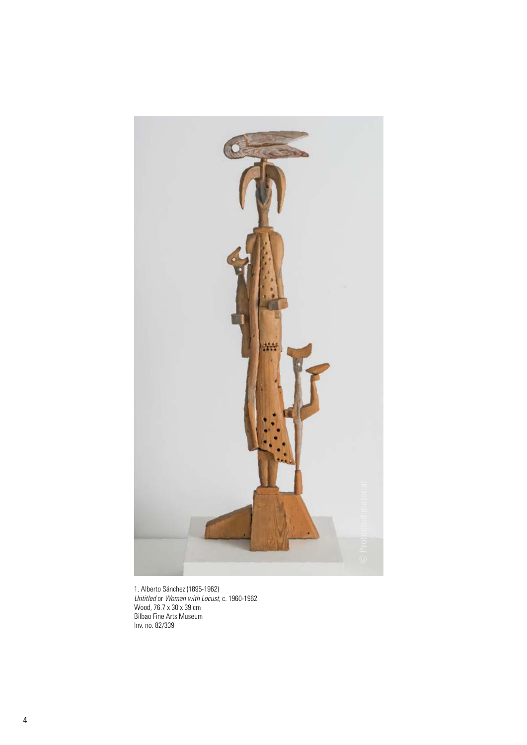

1. Alberto Sánchez (1895-1962) *Untitled* or *Woman with Locust*, c. 1960-1962 Wood, 76.7 x 30 x 39 cm Bilbao Fine Arts Museum Inv. no. 82/339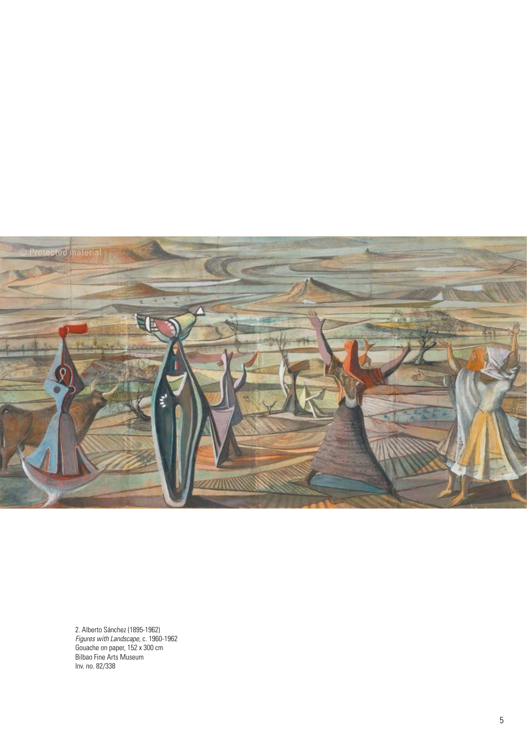

2. Alberto Sánchez (1895-1962) *Figures with Landscape*, c. 1960-1962 Gouache on paper, 152 x 300 cm Bilbao Fine Arts Museum Inv. no. 82/338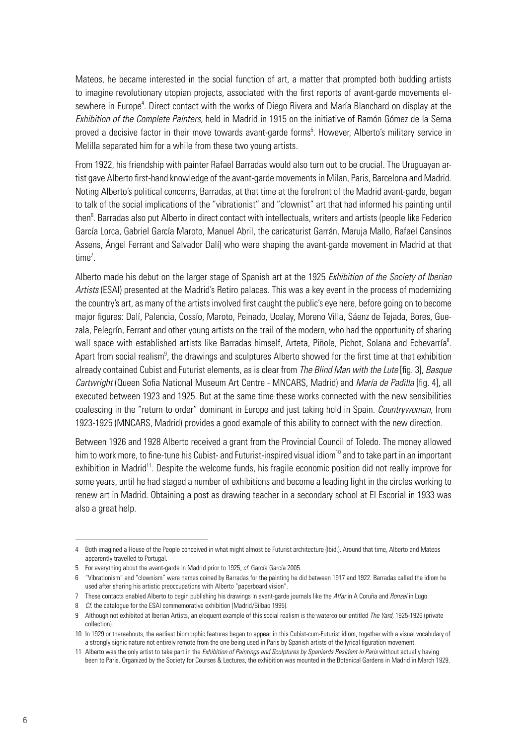Mateos, he became interested in the social function of art, a matter that prompted both budding artists to imagine revolutionary utopian projects, associated with the first reports of avant-garde movements elsewhere in Europe<sup>4</sup>. Direct contact with the works of Diego Rivera and María Blanchard on display at the *Exhibition of the Complete Painters,* held in Madrid in 1915 on the initiative of Ramón Gómez de la Serna proved a decisive factor in their move towards avant-garde forms<sup>5</sup>. However, Alberto's military service in Melilla separated him for a while from these two young artists.

From 1922, his friendship with painter Rafael Barradas would also turn out to be crucial. The Uruguayan artist gave Alberto first-hand knowledge of the avant-garde movements in Milan, Paris, Barcelona and Madrid. Noting Alberto's political concerns, Barradas, at that time at the forefront of the Madrid avant-garde, began to talk of the social implications of the "vibrationist" and "clownist" art that had informed his painting until then<sup>6</sup>. Barradas also put Alberto in direct contact with intellectuals, writers and artists (people like Federico García Lorca, Gabriel García Maroto, Manuel Abril, the caricaturist Garrán, Maruja Mallo, Rafael Cansinos Assens, Ángel Ferrant and Salvador Dalí) who were shaping the avant-garde movement in Madrid at that time<sup>7</sup>.

Alberto made his debut on the larger stage of Spanish art at the 1925 *Exhibition of the Society of Iberian Artists* (ESAI) presented at the Madrid's Retiro palaces. This was a key event in the process of modernizing the country's art, as many of the artists involved first caught the public's eye here, before going on to become major figures: Dalí, Palencia, Cossío, Maroto, Peinado, Ucelay, Moreno Villa, Sáenz de Tejada, Bores, Guezala, Pelegrín, Ferrant and other young artists on the trail of the modern, who had the opportunity of sharing wall space with established artists like Barradas himself, Arteta, Piñole, Pichot, Solana and Echevarría<sup>8</sup>. Apart from social realism<sup>9</sup>, the drawings and sculptures Alberto showed for the first time at that exhibition already contained Cubist and Futurist elements, as is clear from *The Blind Man with the Lute* [fig. 3], *Basque Cartwright* (Queen Sofia National Museum Art Centre - MNCARS, Madrid) and *María de Padilla* [fig. 4], all executed between 1923 and 1925. But at the same time these works connected with the new sensibilities coalescing in the "return to order" dominant in Europe and just taking hold in Spain. *Countrywoman,* from 1923-1925 (MNCARS, Madrid) provides a good example of this ability to connect with the new direction.

Between 1926 and 1928 Alberto received a grant from the Provincial Council of Toledo. The money allowed him to work more, to fine-tune his Cubist- and Futurist-inspired visual idiom<sup>10</sup> and to take part in an important exhibition in Madrid<sup>11</sup>. Despite the welcome funds, his fragile economic position did not really improve for some years, until he had staged a number of exhibitions and become a leading light in the circles working to renew art in Madrid. Obtaining a post as drawing teacher in a secondary school at El Escorial in 1933 was also a great help.

<sup>4</sup> Both imagined a House of the People conceived in what might almost be Futurist architecture (Ibid.). Around that time, Alberto and Mateos apparently travelled to Portugal.

<sup>5</sup> For everything about the avant-garde in Madrid prior to 1925, *cf.* García García 2005.

<sup>6</sup> "Vibrationism" and "clownism" were names coined by Barradas for the painting he did between 1917 and 1922. Barradas called the idiom he used after sharing his artistic preoccupations with Alberto "paperboard vision".

<sup>7</sup> These contacts enabled Alberto to begin publishing his drawings in avant-garde journals like the *Alfar* in A Coruña and *Ronsel* in Lugo*.*

<sup>8</sup> *Cf.* the catalogue for the ESAI commemorative exhibition (Madrid/Bilbao 1995).

<sup>9</sup> Although not exhibited at Iberian Artists, an eloquent example of this social realism is the watercolour entitled *The Yard,* 1925-1926 (private collection).

<sup>10</sup> In 1929 or thereabouts, the earliest biomorphic features began to appear in this Cubist-cum-Futurist idiom, together with a visual vocabulary of a strongly signic nature not entirely remote from the one being used in Paris by Spanish artists of the lyrical figuration movement.

<sup>11</sup> Alberto was the only artist to take part in the *Exhibition of Paintings and Sculptures by Spaniards Resident in Paris* without actually having been to Paris. Organized by the Society for Courses & Lectures, the exhibition was mounted in the Botanical Gardens in Madrid in March 1929.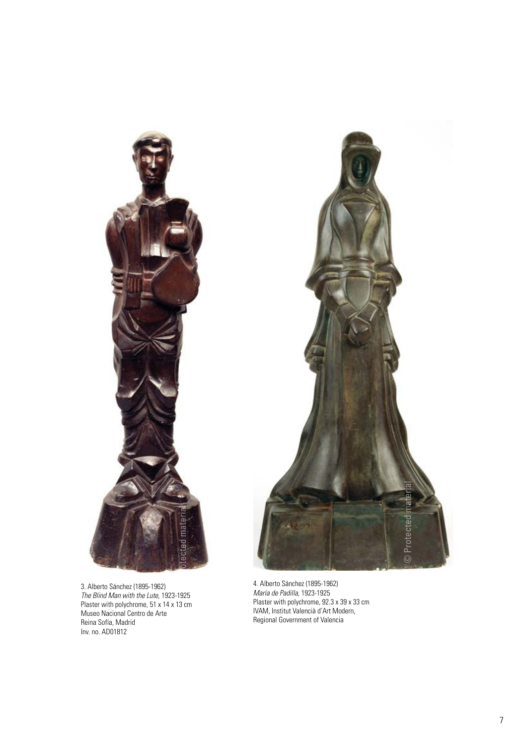

3. Alberto Sánchez (1895-1962) *The Blind Man with the Lute*, 1923-1925 Plaster with polychrome, 51 x 14 x 13 cm Museo Nacional Centro de Arte Reina Sofía, Madrid Inv. no. AD01812

4. Alberto Sánchez (1895-1962) *María de Padilla*, 1923-1925 Plaster with polychrome, 92.3 x 39 x 33 cm IVAM, Institut Valencià d'Art Modern, Regional Government of Valencia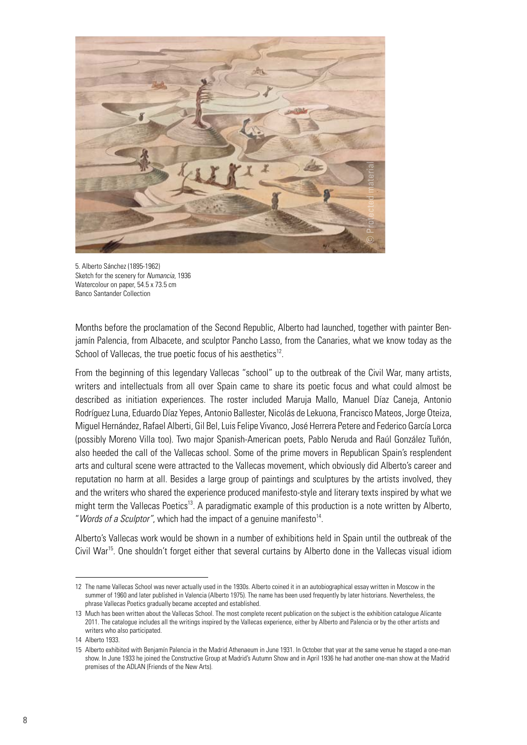

5. Alberto Sánchez (1895-1962) Sketch for the scenery for *Numancia*, 1936 Watercolour on paper, 54.5 x 73.5 cm Banco Santander Collection

Months before the proclamation of the Second Republic, Alberto had launched, together with painter Benjamín Palencia, from Albacete, and sculptor Pancho Lasso, from the Canaries, what we know today as the School of Vallecas, the true poetic focus of his aesthetics<sup>12</sup>.

From the beginning of this legendary Vallecas "school" up to the outbreak of the Civil War, many artists, writers and intellectuals from all over Spain came to share its poetic focus and what could almost be described as initiation experiences. The roster included Maruja Mallo, Manuel Díaz Caneja, Antonio Rodríguez Luna, Eduardo Díaz Yepes, Antonio Ballester, Nicolás de Lekuona, Francisco Mateos, Jorge Oteiza, Miguel Hernández, Rafael Alberti, Gil Bel, Luis Felipe Vivanco, José Herrera Petere and Federico García Lorca (possibly Moreno Villa too). Two major Spanish-American poets, Pablo Neruda and Raúl González Tuñón, also heeded the call of the Vallecas school. Some of the prime movers in Republican Spain's resplendent arts and cultural scene were attracted to the Vallecas movement, which obviously did Alberto's career and reputation no harm at all. Besides a large group of paintings and sculptures by the artists involved, they and the writers who shared the experience produced manifesto-style and literary texts inspired by what we might term the Vallecas Poetics<sup>13</sup>. A paradigmatic example of this production is a note written by Alberto, "*Words of a Sculptor"*, which had the impact of a genuine manifesto<sup>14</sup>.

Alberto's Vallecas work would be shown in a number of exhibitions held in Spain until the outbreak of the Civil War<sup>15</sup>. One shouldn't forget either that several curtains by Alberto done in the Vallecas visual idiom

<sup>12</sup> The name Vallecas School was never actually used in the 1930s. Alberto coined it in an autobiographical essay written in Moscow in the summer of 1960 and later published in Valencia (Alberto 1975). The name has been used frequently by later historians. Nevertheless, the phrase Vallecas Poetics gradually became accepted and established.

<sup>13</sup> Much has been written about the Vallecas School. The most complete recent publication on the subject is the exhibition catalogue Alicante 2011. The catalogue includes all the writings inspired by the Vallecas experience, either by Alberto and Palencia or by the other artists and writers who also participated.

<sup>14</sup> Alberto 1933.

<sup>15</sup> Alberto exhibited with Benjamín Palencia in the Madrid Athenaeum in June 1931. In October that year at the same venue he staged a one-man show. In June 1933 he joined the Constructive Group at Madrid's Autumn Show and in April 1936 he had another one-man show at the Madrid premises of the ADLAN (Friends of the New Arts).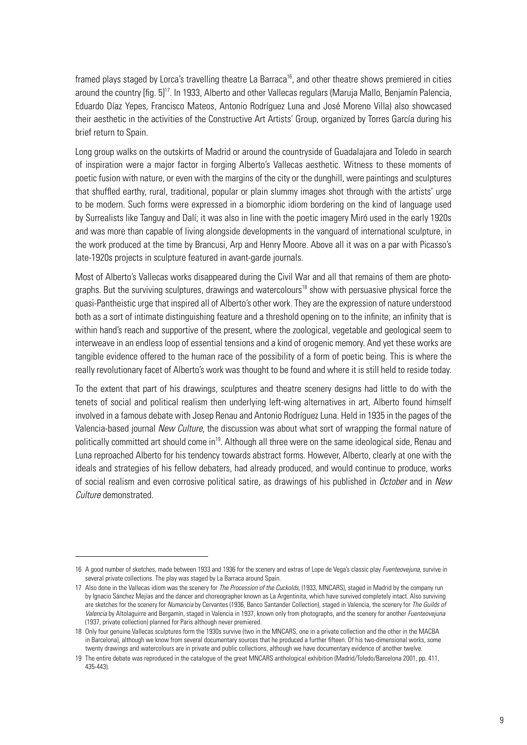framed plays staged by Lorca's travelling theatre La Barraca<sup>16</sup>, and other theatre shows premiered in cities around the country [fig. 5]17. In 1933, Alberto and other Vallecas regulars (Maruja Mallo, Benjamín Palencia, Eduardo Díaz Yepes, Francisco Mateos, Antonio Rodríguez Luna and José Moreno Villa) also showcased their aesthetic in the activities of the Constructive Art Artists' Group, organized by Torres García during his brief return to Spain.

Long group walks on the outskirts of Madrid or around the countryside of Guadalajara and Toledo in search of inspiration were a major factor in forging Alberto's Vallecas aesthetic. Witness to these moments of poetic fusion with nature, or even with the margins of the city or the dunghill, were paintings and sculptures that shuffled earthy, rural, traditional, popular or plain slummy images shot through with the artists' urge to be modern. Such forms were expressed in a biomorphic idiom bordering on the kind of language used by Surrealists like Tanguy and Dalí; it was also in line with the poetic imagery Miró used in the early 1920s and was more than capable of living alongside developments in the vanguard of international sculpture, in the work produced at the time by Brancusi, Arp and Henry Moore. Above all it was on a par with Picasso's late-1920s projects in sculpture featured in avant-garde journals.

Most of Alberto's Vallecas works disappeared during the Civil War and all that remains of them are photographs. But the surviving sculptures, drawings and watercolours<sup>18</sup> show with persuasive physical force the quasi-Pantheistic urge that inspired all of Alberto's other work. They are the expression of nature understood both as a sort of intimate distinguishing feature and a threshold opening on to the infinite; an infinity that is within hand's reach and supportive of the present, where the zoological, vegetable and geological seem to interweave in an endless loop of essential tensions and a kind of orogenic memory. And yet these works are tangible evidence offered to the human race of the possibility of a form of poetic being. This is where the really revolutionary facet of Alberto's work was thought to be found and where it is still held to reside today.

To the extent that part of his drawings, sculptures and theatre scenery designs had little to do with the tenets of social and political realism then underlying left-wing alternatives in art, Alberto found himself involved in a famous debate with Josep Renau and Antonio Rodríguez Luna. Held in 1935 in the pages of the Valencia-based journal *New Culture,* the discussion was about what sort of wrapping the formal nature of politically committed art should come in<sup>19</sup>. Although all three were on the same ideological side, Renau and Luna reproached Alberto for his tendency towards abstract forms. However, Alberto, clearly at one with the ideals and strategies of his fellow debaters, had already produced, and would continue to produce, works of social realism and even corrosive political satire, as drawings of his published in *October* and in *New Culture* demonstrated.

<sup>16</sup> A good number of sketches, made between 1933 and 1936 for the scenery and extras of Lope de Vega's classic play *Fuenteovejuna*, survive in several private collections. The play was staged by La Barraca around Spain.

<sup>17</sup> Also done in the Vallecas idiom was the scenery for *The Procession of the Cuckolds,* (1933, MNCARS), staged in Madrid by the company run by Ignacio Sánchez Mejías and the dancer and choreographer known as La Argentinita, which have survived completely intact. Also surviving are sketches for the scenery for *Numancia* by Cervantes (1936, Banco Santander Collection), staged in Valencia, the scenery for *The Guilds of Valencia* by Altolaguirre and Bergamín, staged in Valencia in 1937, known only from photographs, and the scenery for another *Fuenteovejuna* (1937, private collection) planned for Paris although never premiered.

<sup>18</sup> Only four genuine Vallecas sculptures form the 1930s survive (two in the MNCARS, one in a private collection and the other in the MACBA in Barcelona), although we know from several documentary sources that he produced a further fifteen. Of his two-dimensional works, some twenty drawings and watercolours are in private and public collections, although we have documentary evidence of another twelve.

<sup>19</sup> The entire debate was reproduced in the catalogue of the great MNCARS anthological exhibition (Madrid/Toledo/Barcelona 2001, pp. 411, 435-443).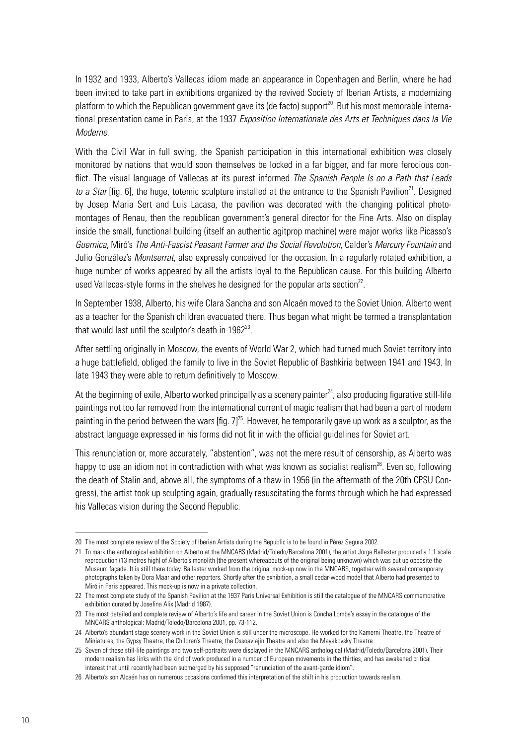In 1932 and 1933, Alberto's Vallecas idiom made an appearance in Copenhagen and Berlin, where he had been invited to take part in exhibitions organized by the revived Society of Iberian Artists, a modernizing platform to which the Republican government gave its (de facto) support<sup>20</sup>. But his most memorable international presentation came in Paris, at the 1937 *Exposition Internationale des Arts et Techniques dans la Vie Moderne*.

With the Civil War in full swing, the Spanish participation in this international exhibition was closely monitored by nations that would soon themselves be locked in a far bigger, and far more ferocious conflict. The visual language of Vallecas at its purest informed *The Spanish People Is on a Path that Leads to a Star* [fig. 6], the huge, totemic sculpture installed at the entrance to the Spanish Pavilion<sup>21</sup>. Designed by Josep Maria Sert and Luis Lacasa, the pavilion was decorated with the changing political photomontages of Renau, then the republican government's general director for the Fine Arts. Also on display inside the small, functional building (itself an authentic agitprop machine) were major works like Picasso's *Guernica*, Miró's *The Anti-Fascist Peasant Farmer and the Social Revolution*, Calder's *Mercury Fountain* and Julio González's *Montserrat*, also expressly conceived for the occasion. In a regularly rotated exhibition, a huge number of works appeared by all the artists loyal to the Republican cause. For this building Alberto used Vallecas-style forms in the shelves he designed for the popular arts section<sup>22</sup>.

In September 1938, Alberto, his wife Clara Sancha and son Alcaén moved to the Soviet Union. Alberto went as a teacher for the Spanish children evacuated there. Thus began what might be termed a transplantation that would last until the sculptor's death in  $1962^{23}$ .

After settling originally in Moscow, the events of World War 2, which had turned much Soviet territory into a huge battlefield, obliged the family to live in the Soviet Republic of Bashkiria between 1941 and 1943. In late 1943 they were able to return definitively to Moscow.

At the beginning of exile, Alberto worked principally as a scenery painter<sup>24</sup>, also producing figurative still-life paintings not too far removed from the international current of magic realism that had been a part of modern painting in the period between the wars  $[fig. 7]^{25}$ . However, he temporarily gave up work as a sculptor, as the abstract language expressed in his forms did not fit in with the official guidelines for Soviet art.

This renunciation or, more accurately, "abstention", was not the mere result of censorship, as Alberto was happy to use an idiom not in contradiction with what was known as socialist realism<sup>26</sup>. Even so, following the death of Stalin and, above all, the symptoms of a thaw in 1956 (in the aftermath of the 20th CPSU Congress), the artist took up sculpting again, gradually resuscitating the forms through which he had expressed his Vallecas vision during the Second Republic.

<sup>20</sup> The most complete review of the Society of Iberian Artists during the Republic is to be found in Pérez Segura 2002.

<sup>21</sup> To mark the anthological exhibition on Alberto at the MNCARS (Madrid/Toledo/Barcelona 2001), the artist Jorge Ballester produced a 1:1 scale reproduction (13 metres high) of Alberto's monolith (the present whereabouts of the original being unknown) which was put up opposite the Museum façade. It is still there today. Ballester worked from the original mock-up now in the MNCARS, together with several contemporary photographs taken by Dora Maar and other reporters. Shortly after the exhibition, a small cedar-wood model that Alberto had presented to Miró in Paris appeared. This mock-up is now in a private collection.

<sup>22</sup> The most complete study of the Spanish Pavilion at the 1937 Paris Universal Exhibition is still the catalogue of the MNCARS commemorative exhibition curated by Josefina Alix (Madrid 1987).

<sup>23</sup> The most detailed and complete review of Alberto's life and career in the Soviet Union is Concha Lomba's essay in the catalogue of the MNCARS anthological: Madrid/Toledo/Barcelona 2001, pp. 73-112.

<sup>24</sup> Alberto's abundant stage scenery work in the Soviet Union is still under the microscope. He worked for the Kamerni Theatre, the Theatre of Miniatures, the Gypsy Theatre, the Children's Theatre, the Ossoaviajin Theatre and also the Mayakovsky Theatre.

<sup>25</sup> Seven of these still-life paintings and two self-portraits were displayed in the MNCARS anthological (Madrid/Toledo/Barcelona 2001). Their modern realism has links with the kind of work produced in a number of European movements in the thirties, and has awakened critical interest that until recently had been submerged by his supposed "renunciation of the avant-garde idiom".

<sup>26</sup> Alberto's son Alcaén has on numerous occasions confirmed this interpretation of the shift in his production towards realism.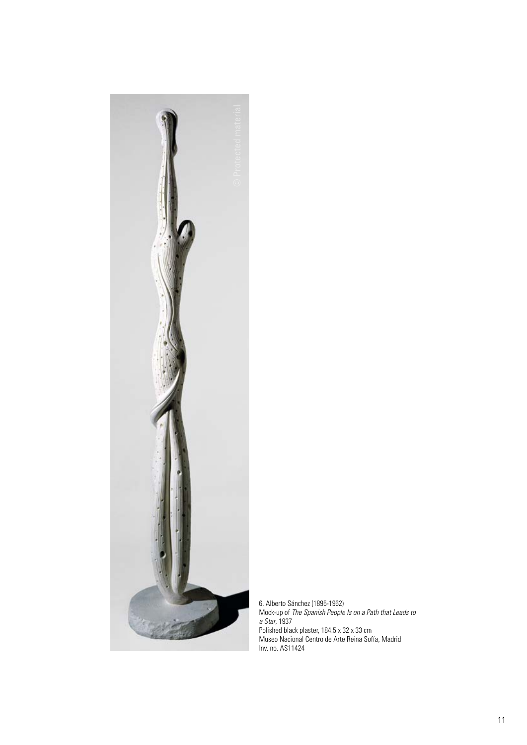

6. Alberto Sánchez (1895-1962) Mock-up of *The Spanish People Is on a Path that Leads to a Star*, 1937 Polished black plaster, 184.5 x 32 x 33 cm Museo Nacional Centro de Arte Reina Sofía, Madrid Inv. no. AS11424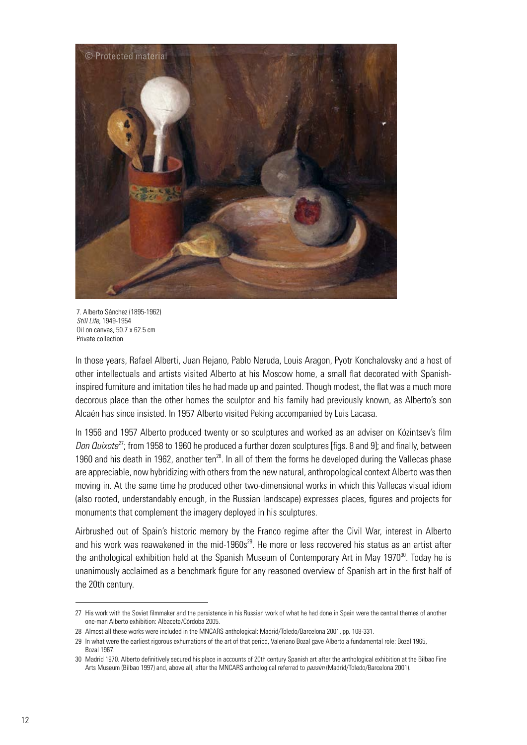

7. Alberto Sánchez (1895-1962) *Still Life*, 1949-1954 Oil on canvas, 50.7 x 62.5 cm Private collection

In those years, Rafael Alberti, Juan Rejano, Pablo Neruda, Louis Aragon, Pyotr Konchalovsky and a host of other intellectuals and artists visited Alberto at his Moscow home, a small flat decorated with Spanishinspired furniture and imitation tiles he had made up and painted. Though modest, the flat was a much more decorous place than the other homes the sculptor and his family had previously known, as Alberto's son Alcaén has since insisted. In 1957 Alberto visited Peking accompanied by Luis Lacasa.

In 1956 and 1957 Alberto produced twenty or so sculptures and worked as an adviser on Kózintsev's film *Don Quixote*27; from 1958 to 1960 he produced a further dozen sculptures [figs. 8 and 9]; and finally, between 1960 and his death in 1962, another ten $^{28}$ . In all of them the forms he developed during the Vallecas phase are appreciable, now hybridizing with others from the new natural, anthropological context Alberto was then moving in. At the same time he produced other two-dimensional works in which this Vallecas visual idiom (also rooted, understandably enough, in the Russian landscape) expresses places, figures and projects for monuments that complement the imagery deployed in his sculptures.

Airbrushed out of Spain's historic memory by the Franco regime after the Civil War, interest in Alberto and his work was reawakened in the mid-1960 $s^{29}$ . He more or less recovered his status as an artist after the anthological exhibition held at the Spanish Museum of Contemporary Art in May 1970<sup>30</sup>. Today he is unanimously acclaimed as a benchmark figure for any reasoned overview of Spanish art in the first half of the 20th century.

<sup>27</sup> His work with the Soviet filmmaker and the persistence in his Russian work of what he had done in Spain were the central themes of another one-man Alberto exhibition: Albacete/Córdoba 2005.

<sup>28</sup> Almost all these works were included in the MNCARS anthological: Madrid/Toledo/Barcelona 2001, pp. 108-331.

<sup>29</sup> In what were the earliest rigorous exhumations of the art of that period, Valeriano Bozal gave Alberto a fundamental role: Bozal 1965, Bozal 1967.

<sup>30</sup> Madrid 1970. Alberto definitively secured his place in accounts of 20th century Spanish art after the anthological exhibition at the Bilbao Fine Arts Museum (Bilbao 1997) and, above all, after the MNCARS anthological referred to *passim* (Madrid/Toledo/Barcelona 2001).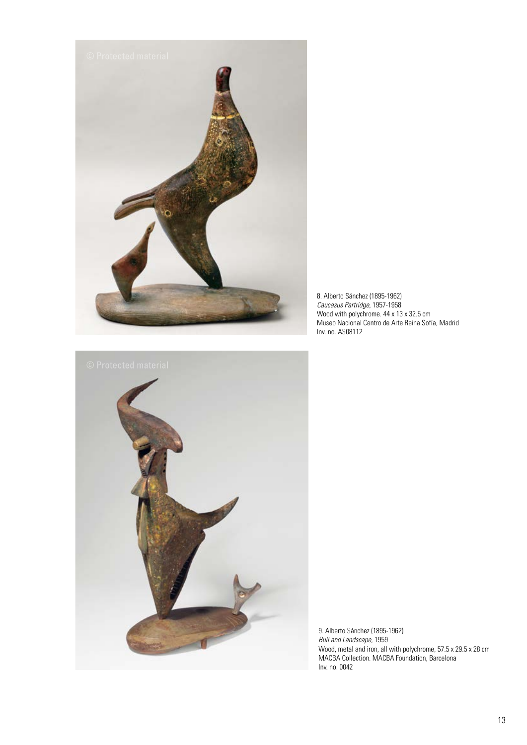

8. Alberto Sánchez (1895-1962) *Caucasus Partridge*, 1957-1958 Wood with polychrome. 44 x 13 x 32.5 cm Museo Nacional Centro de Arte Reina Sofía, Madrid Inv. no. AS08112



9. Alberto Sánchez (1895-1962) *Bull and Landscape*, 1959 Wood, metal and iron, all with polychrome, 57.5 x 29.5 x 28 cm MACBA Collection. MACBA Foundation, Barcelona Inv. no. 0042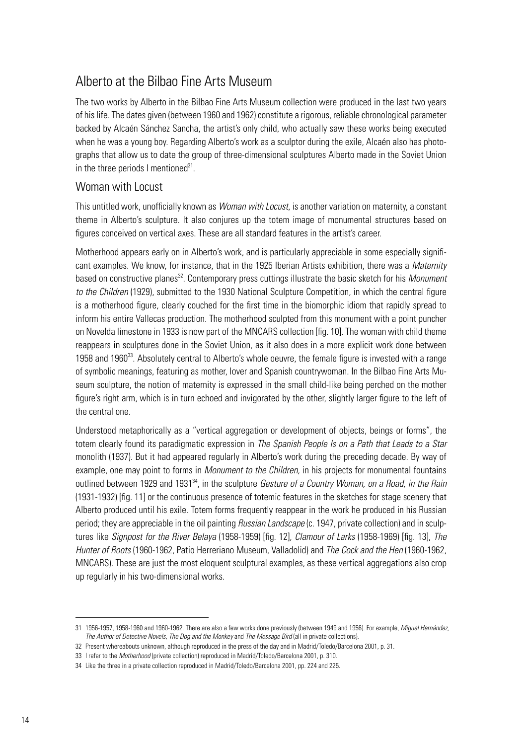# Alberto at the Bilbao Fine Arts Museum

The two works by Alberto in the Bilbao Fine Arts Museum collection were produced in the last two years of his life. The dates given (between 1960 and 1962) constitute a rigorous, reliable chronological parameter backed by Alcaén Sánchez Sancha, the artist's only child, who actually saw these works being executed when he was a young boy. Regarding Alberto's work as a sculptor during the exile, Alcaén also has photographs that allow us to date the group of three-dimensional sculptures Alberto made in the Soviet Union in the three periods I mentioned $31$ .

### Woman with Locust

This untitled work, unofficially known as *Woman with Locust*, is another variation on maternity, a constant theme in Alberto's sculpture. It also conjures up the totem image of monumental structures based on figures conceived on vertical axes. These are all standard features in the artist's career.

Motherhood appears early on in Alberto's work, and is particularly appreciable in some especially significant examples. We know, for instance, that in the 1925 Iberian Artists exhibition, there was a *Maternity* based on constructive planes<sup>32</sup>. Contemporary press cuttings illustrate the basic sketch for his *Monument to the Children* (1929), submitted to the 1930 National Sculpture Competition, in which the central figure is a motherhood figure, clearly couched for the first time in the biomorphic idiom that rapidly spread to inform his entire Vallecas production. The motherhood sculpted from this monument with a point puncher on Novelda limestone in 1933 is now part of the MNCARS collection [fig. 10]. The woman with child theme reappears in sculptures done in the Soviet Union, as it also does in a more explicit work done between 1958 and 1960 $33$ . Absolutely central to Alberto's whole oeuvre, the female figure is invested with a range of symbolic meanings, featuring as mother, lover and Spanish countrywoman. In the Bilbao Fine Arts Museum sculpture, the notion of maternity is expressed in the small child-like being perched on the mother figure's right arm, which is in turn echoed and invigorated by the other, slightly larger figure to the left of the central one.

Understood metaphorically as a "vertical aggregation or development of objects, beings or forms", the totem clearly found its paradigmatic expression in *The Spanish People Is on a Path that Leads to a Star* monolith (1937). But it had appeared regularly in Alberto's work during the preceding decade. By way of example, one may point to forms in *Monument to the Children,* in his projects for monumental fountains outlined between 1929 and 1931<sup>34</sup>, in the sculpture *Gesture of a Country Woman, on a Road, in the Rain* (1931-1932) [fig. 11] or the continuous presence of totemic features in the sketches for stage scenery that Alberto produced until his exile. Totem forms frequently reappear in the work he produced in his Russian period; they are appreciable in the oil painting *Russian Landscape* (c. 1947, private collection) and in sculptures like *Signpost for the River Belaya* (1958-1959) [fig. 12], *Clamour of Larks* (1958-1969) [fig. 13], *The Hunter of Roots* (1960-1962, Patio Herreriano Museum, Valladolid) and *The Cock and the Hen* (1960-1962, MNCARS). These are just the most eloquent sculptural examples, as these vertical aggregations also crop up regularly in his two-dimensional works.

<sup>31</sup> 1956-1957, 1958-1960 and 1960-1962. There are also a few works done previously (between 1949 and 1956). For example, *Miguel Hernández, The Author of Detective Novels, The Dog and the Monkey* and *The Message Bird* (all in private collections).

<sup>32</sup> Present whereabouts unknown, although reproduced in the press of the day and in Madrid/Toledo/Barcelona 2001, p. 31.

<sup>33</sup> I refer to the *Motherhood* (private collection) reproduced in Madrid/Toledo/Barcelona 2001, p. 310.

<sup>34</sup> Like the three in a private collection reproduced in Madrid/Toledo/Barcelona 2001, pp. 224 and 225.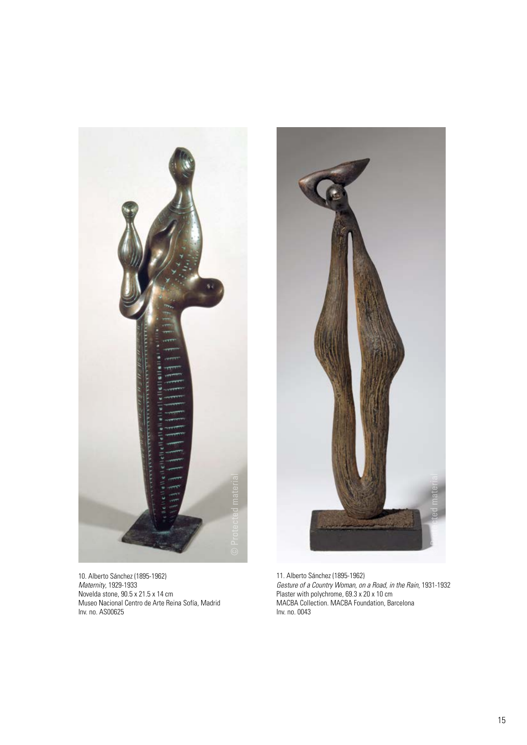

10. Alberto Sánchez (1895-1962) *Maternity*, 1929-1933 Novelda stone, 90.5 x 21.5 x 14 cm Museo Nacional Centro de Arte Reina Sofía, Madrid Inv. no. AS00625



11. Alberto Sánchez (1895-1962) *Gesture of a Country Woman, on a Road, in the Rain*, 1931-1932 Plaster with polychrome, 69.3 x 20 x 10 cm MACBA Collection. MACBA Foundation, Barcelona Inv. no. 0043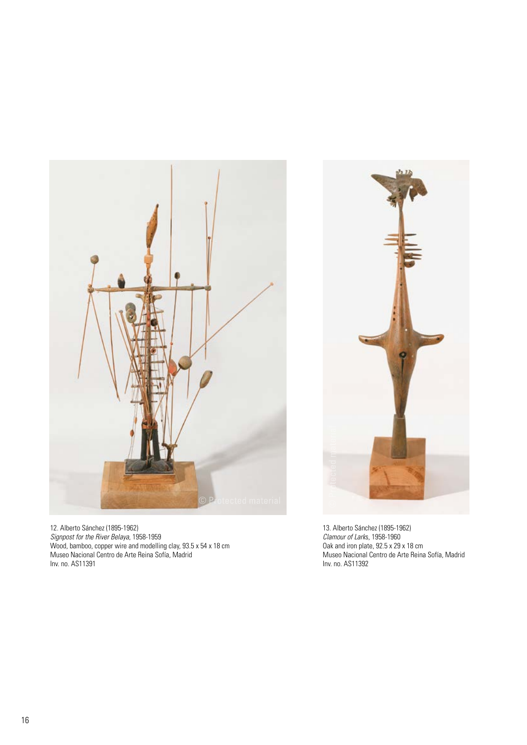

12. Alberto Sánchez (1895-1962) *Signpost for the River Belaya*, 1958-1959 Wood, bamboo, copper wire and modelling clay, 93.5 x 54 x 18 cm Museo Nacional Centro de Arte Reina Sofía, Madrid Inv. no. AS11391



13. Alberto Sánchez (1895-1962) *Clamour of Lark*s, 1958-1960 Oak and iron plate, 92.5 x 29 x 18 cm Museo Nacional Centro de Arte Reina Sofía, Madrid Inv. no. AS11392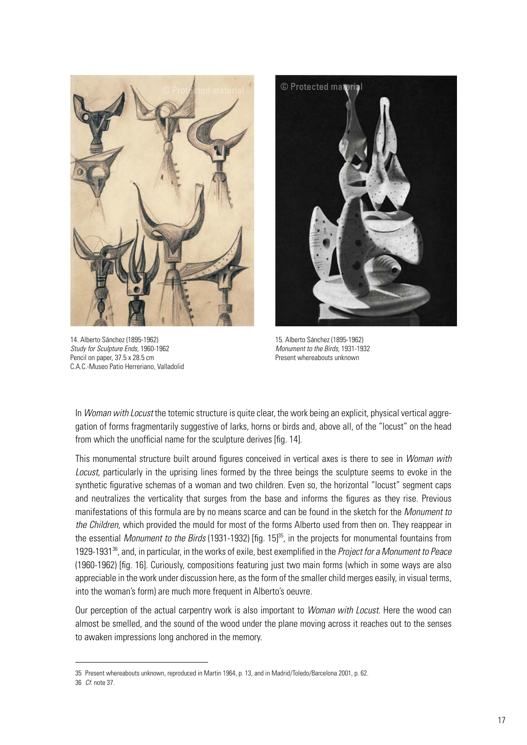

14. Alberto Sánchez (1895-1962) *Study for Sculpture Ends*, 1960-1962 Pencil on paper, 37.5 x 28.5 cm C.A.C.-Museo Patio Herreriano, Valladolid



15. Alberto Sánchez (1895-1962) *Monument to the Birds*, 1931-1932 Present whereabouts unknown

In *Woman with Locust* the totemic structure is quite clear, the work being an explicit, physical vertical aggregation of forms fragmentarily suggestive of larks, horns or birds and, above all, of the "locust" on the head from which the unofficial name for the sculpture derives [fig. 14].

This monumental structure built around figures conceived in vertical axes is there to see in *Woman with Locust*, particularly in the uprising lines formed by the three beings the sculpture seems to evoke in the synthetic figurative schemas of a woman and two children. Even so, the horizontal "locust" segment caps and neutralizes the verticality that surges from the base and informs the figures as they rise. Previous manifestations of this formula are by no means scarce and can be found in the sketch for the *Monument to the Children,* which provided the mould for most of the forms Alberto used from then on. They reappear in the essential *Monument to the Birds* (1931-1932) [fig. 15]<sup>35</sup>, in the projects for monumental fountains from 1929-193136, and, in particular, in the works of exile, best exemplified in the *Project for a Monument to Peace*  (1960-1962) [fig. 16]. Curiously, compositions featuring just two main forms (which in some ways are also appreciable in the work under discussion here, as the form of the smaller child merges easily, in visual terms, into the woman's form) are much more frequent in Alberto's oeuvre.

Our perception of the actual carpentry work is also important to *Woman with Locust*. Here the wood can almost be smelled, and the sound of the wood under the plane moving across it reaches out to the senses to awaken impressions long anchored in the memory.

<sup>35</sup> Present whereabouts unknown, reproduced in Martin 1964, p. 13, and in Madrid/Toledo/Barcelona 2001, p. 62.

<sup>36</sup> *Cf.* note 37.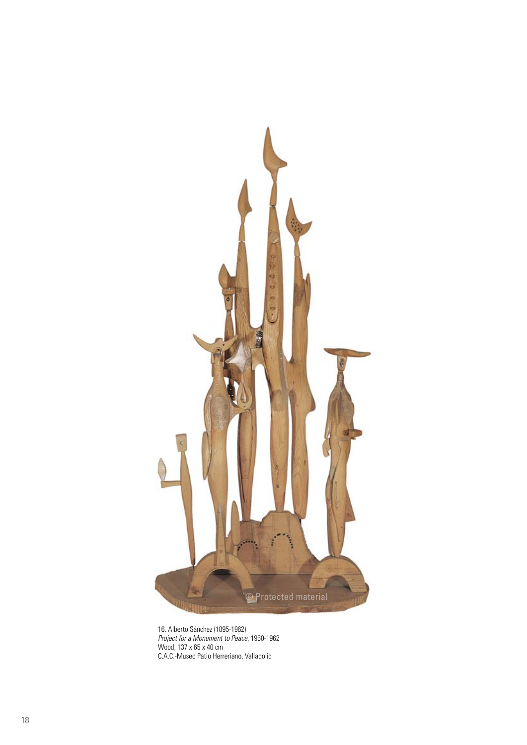

16. Alberto Sánchez (1895-1962) *Project for a Monument to Peace*, 1960-1962 Wood, 137 x 65 x 40 cm C.A.C.-Museo Patio Herreriano, Valladolid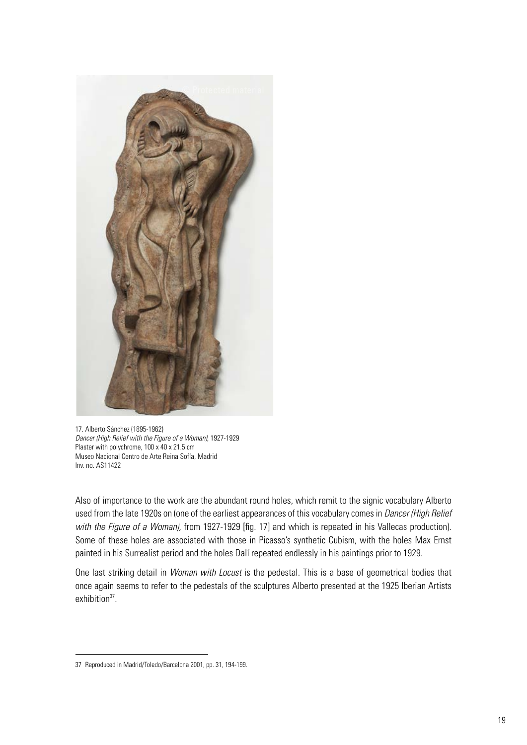

17. Alberto Sánchez (1895-1962) *Dancer (High Relief with the Figure of a Woman),* 1927-1929 Plaster with polychrome, 100 x 40 x 21.5 cm Museo Nacional Centro de Arte Reina Sofía, Madrid Inv. no. AS11422

Also of importance to the work are the abundant round holes, which remit to the signic vocabulary Alberto used from the late 1920s on (one of the earliest appearances of this vocabulary comes in *Dancer (High Relief with the Figure of a Woman),* from 1927-1929 [fig. 17] and which is repeated in his Vallecas production). Some of these holes are associated with those in Picasso's synthetic Cubism, with the holes Max Ernst painted in his Surrealist period and the holes Dalí repeated endlessly in his paintings prior to 1929.

One last striking detail in *Woman with Locust* is the pedestal. This is a base of geometrical bodies that once again seems to refer to the pedestals of the sculptures Alberto presented at the 1925 Iberian Artists exhibition<sup>37</sup>.

<sup>37</sup> Reproduced in Madrid/Toledo/Barcelona 2001, pp. 31, 194-199.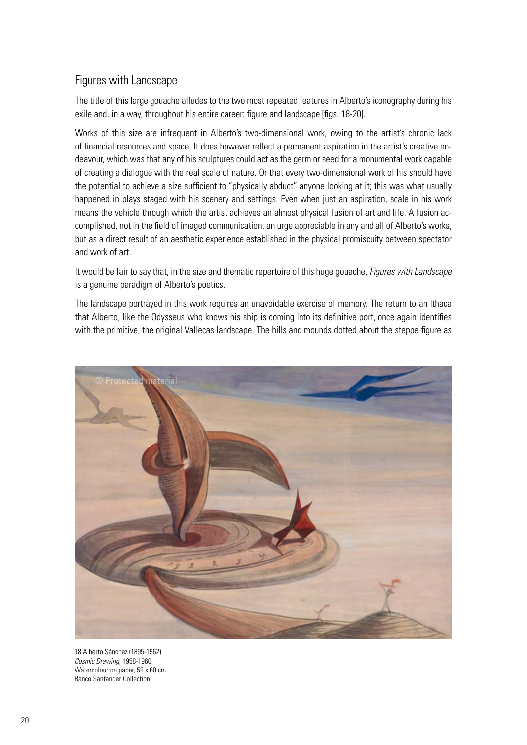## Figures with Landscape

The title of this large gouache alludes to the two most repeated features in Alberto's iconography during his exile and, in a way, throughout his entire career: figure and landscape [figs. 18-20].

Works of this size are infrequent in Alberto's two-dimensional work, owing to the artist's chronic lack of financial resources and space. It does however reflect a permanent aspiration in the artist's creative endeavour, which was that any of his sculptures could act as the germ or seed for a monumental work capable of creating a dialogue with the real scale of nature. Or that every two-dimensional work of his should have the potential to achieve a size sufficient to "physically abduct" anyone looking at it; this was what usually happened in plays staged with his scenery and settings. Even when just an aspiration, scale in his work means the vehicle through which the artist achieves an almost physical fusion of art and life. A fusion accomplished, not in the field of imaged communication, an urge appreciable in any and all of Alberto's works, but as a direct result of an aesthetic experience established in the physical promiscuity between spectator and work of art.

It would be fair to say that, in the size and thematic repertoire of this huge gouache, *Figures with Landscape* is a genuine paradigm of Alberto's poetics.

The landscape portrayed in this work requires an unavoidable exercise of memory. The return to an Ithaca that Alberto, like the Odysseus who knows his ship is coming into its definitive port, once again identifies with the primitive, the original Vallecas landscape. The hills and mounds dotted about the steppe figure as



18.Alberto Sánchez (1895-1962) *Cosmic Drawing*, 1958-1960 Watercolour on paper, 58 x 60 cm Banco Santander Collection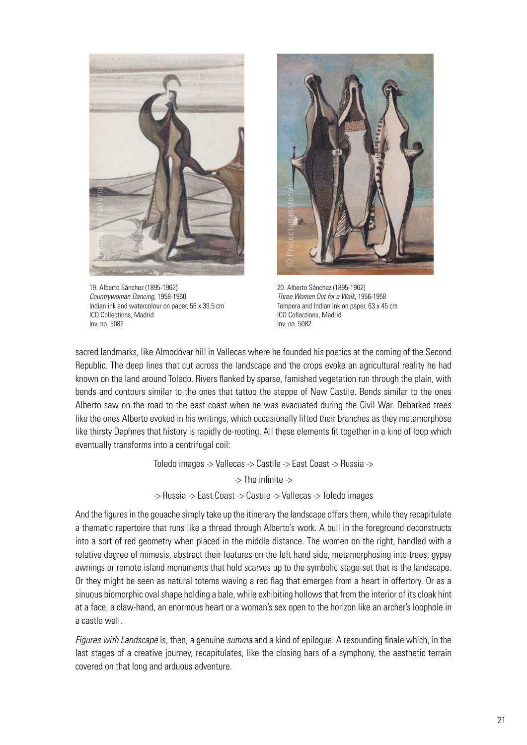

19. Alberto Sánchez (1895-1962) *Countrywoman Dancing*, 1958-1960 Indian ink and watercolour on paper, 56 x 39.5 cm ICO Collections, Madrid Inv. no. 5082



20. Alberto Sánchez (1895-1962) *Three Women Out for a Walk*, 1956-1958 Tempera and Indian ink on paper, 63 x 45 cm ICO Collections, Madrid Inv. no. 5082

sacred landmarks, like Almodóvar hill in Vallecas where he founded his poetics at the coming of the Second Republic. The deep lines that cut across the landscape and the crops evoke an agricultural reality he had known on the land around Toledo. Rivers flanked by sparse, famished vegetation run through the plain, with bends and contours similar to the ones that tattoo the steppe of New Castile. Bends similar to the ones Alberto saw on the road to the east coast when he was evacuated during the Civil War. Debarked trees like the ones Alberto evoked in his writings, which occasionally lifted their branches as they metamorphose like thirsty Daphnes that history is rapidly de-rooting. All these elements fit together in a kind of loop which eventually transforms into a centrifugal coil:

> Toledo images -> Vallecas -> Castile -> East Coast -> Russia -> -> The infinite -> -> Russia -> East Coast -> Castile -> Vallecas -> Toledo images

And the figures in the gouache simply take up the itinerary the landscape offers them, while they recapitulate a thematic repertoire that runs like a thread through Alberto's work. A bull in the foreground deconstructs into a sort of red geometry when placed in the middle distance. The women on the right, handled with a relative degree of mimesis, abstract their features on the left hand side, metamorphosing into trees, gypsy awnings or remote island monuments that hold scarves up to the symbolic stage-set that is the landscape. Or they might be seen as natural totems waving a red flag that emerges from a heart in offertory. Or as a sinuous biomorphic oval shape holding a bale, while exhibiting hollows that from the interior of its cloak hint at a face, a claw-hand, an enormous heart or a woman's sex open to the horizon like an archer's loophole in a castle wall.

*Figures with Landscape* is, then, a genuine *summa* and a kind of epilogue. A resounding finale which, in the last stages of a creative journey, recapitulates, like the closing bars of a symphony, the aesthetic terrain covered on that long and arduous adventure.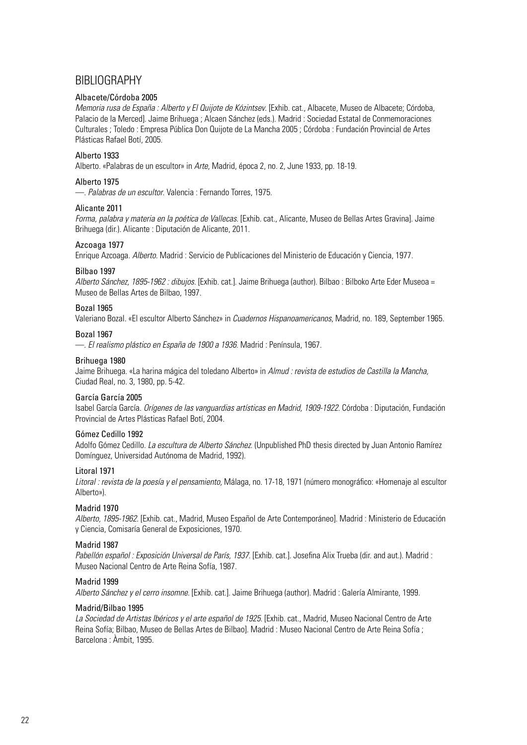## BIBLIOGRAPHY

#### Albacete/Córdoba 2005

*Memoria rusa de España : Alberto y El Quijote de Kózintsev*. [Exhib. cat., Albacete, Museo de Albacete; Córdoba, Palacio de la Merced]. Jaime Brihuega ; Alcaen Sánchez (eds.). Madrid : Sociedad Estatal de Conmemoraciones Culturales ; Toledo : Empresa Pública Don Quijote de La Mancha 2005 ; Córdoba : Fundación Provincial de Artes Plásticas Rafael Botí, 2005.

#### Alberto 1933

Alberto. «Palabras de un escultor» in *Arte*, Madrid, época 2, no. 2, June 1933, pp. 18-19.

#### Alberto 1975

—. *Palabras de un escultor*. Valencia : Fernando Torres, 1975.

#### Alicante 2011

*Forma, palabra y materia en la poética de Vallecas*. [Exhib. cat., Alicante, Museo de Bellas Artes Gravina]. Jaime Brihuega (dir.). Alicante : Diputación de Alicante, 2011.

#### Azcoaga 1977

Enrique Azcoaga. *Alberto*. Madrid : Servicio de Publicaciones del Ministerio de Educación y Ciencia, 1977.

#### Bilbao 1997

*Alberto Sánchez, 1895-1962 : dibujos.* [Exhib. cat.]. Jaime Brihuega (author). Bilbao : Bilboko Arte Eder Museoa = Museo de Bellas Artes de Bilbao, 1997.

#### Bozal 1965

Valeriano Bozal. «El escultor Alberto Sánchez» in *Cuadernos Hispanoamericanos*, Madrid, no. 189, September 1965.

#### Bozal 1967

—. *El realismo plástico en España de 1900 a 1936*. Madrid : Península, 1967.

#### Brihuega 1980

Jaime Brihuega. «La harina mágica del toledano Alberto» in *Almud : revista de estudios de Castilla la Mancha,*  Ciudad Real, no. 3, 1980, pp. 5-42.

#### García García 2005

Isabel García García. *Orígenes de las vanguardias artísticas en Madrid, 1909-1922*. Córdoba : Diputación, Fundación Provincial de Artes Plásticas Rafael Botí, 2004.

#### Gómez Cedillo 1992

Adolfo Gómez Cedillo. *La escultura de Alberto Sánchez*. (Unpublished PhD thesis directed by Juan Antonio Ramírez Domínguez, Universidad Autónoma de Madrid, 1992).

#### Litoral 1971

*Litoral : revista de la poesía y el pensamiento,* Málaga, no. 17-18, 1971 (número monográfico: «Homenaje al escultor Alberto»).

#### Madrid 1970

*Alberto, 1895-1962.* [Exhib. cat., Madrid, Museo Español de Arte Contemporáneo]. Madrid : Ministerio de Educación y Ciencia, Comisaría General de Exposiciones, 1970.

#### Madrid 1987

Pabellón español : Exposición Universal de París, 1937. [Exhib. cat.]. Josefina Alix Trueba (dir. and aut.). Madrid : Museo Nacional Centro de Arte Reina Sofía, 1987.

#### Madrid 1999

*Alberto Sánchez y el cerro insomne*. [Exhib. cat.]. Jaime Brihuega (author). Madrid : Galería Almirante, 1999.

#### Madrid/Bilbao 1995

La Sociedad de Artistas Ibéricos y el arte español de 1925. [Exhib. cat., Madrid, Museo Nacional Centro de Arte Reina Sofía; Bilbao, Museo de Bellas Artes de Bilbao]. Madrid : Museo Nacional Centro de Arte Reina Sofía ; Barcelona : Àmbit, 1995.